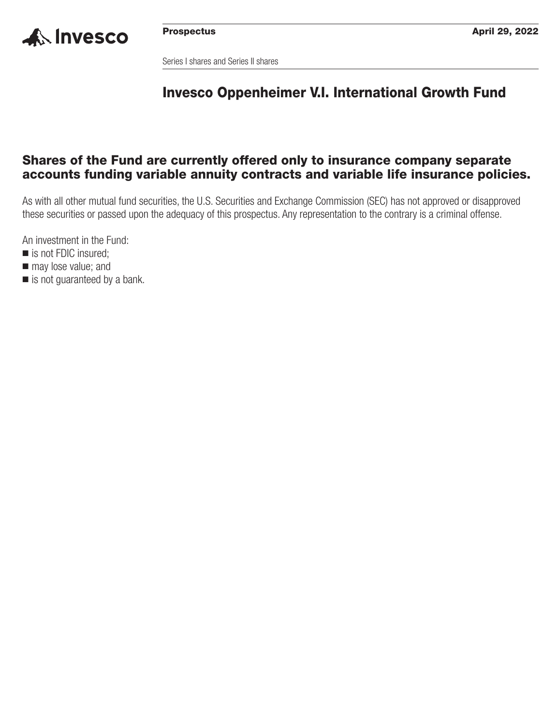

Series I shares and Series II shares

## **Invesco Oppenheimer V.I. International Growth Fund**

## **Shares of the Fund are currently offered only to insurance company separate accounts funding variable annuity contracts and variable life insurance policies.**

As with all other mutual fund securities, the U.S. Securities and Exchange Commission (SEC) has not approved or disapproved these securities or passed upon the adequacy of this prospectus. Any representation to the contrary is a criminal offense.

An investment in the Fund:

- is not FDIC insured;
- $\blacksquare$  may lose value; and
- is not guaranteed by a bank.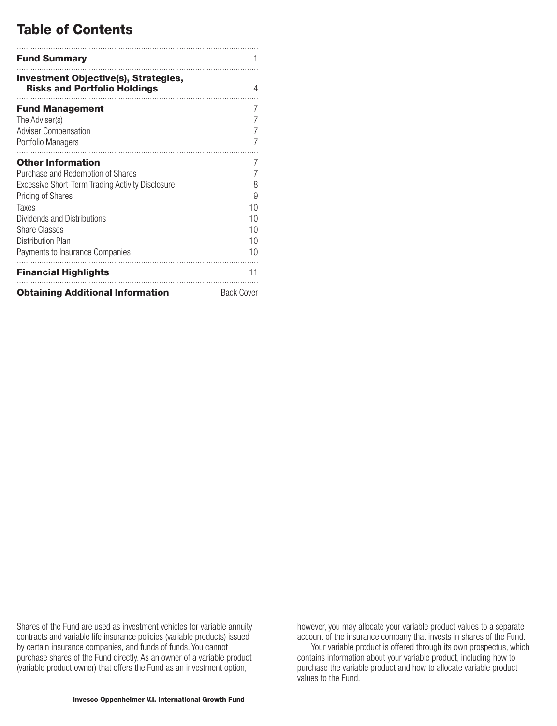## **Table of Contents**

| <b>Fund Summary</b>                                                                |                   |
|------------------------------------------------------------------------------------|-------------------|
| <b>Investment Objective(s), Strategies,</b><br><b>Risks and Portfolio Holdings</b> | 4                 |
| <b>Fund Management</b>                                                             | 7                 |
| The Adviser(s)                                                                     |                   |
| <b>Adviser Compensation</b>                                                        |                   |
| Portfolio Managers                                                                 |                   |
| .<br><b>Other Information</b>                                                      | 7                 |
| Purchase and Redemption of Shares                                                  | 7                 |
| Excessive Short-Term Trading Activity Disclosure                                   | 8                 |
| <b>Pricing of Shares</b>                                                           | 9                 |
| Taxes                                                                              | 10                |
| Dividends and Distributions                                                        | 10                |
| <b>Share Classes</b>                                                               | 10                |
| Distribution Plan                                                                  | 10                |
| Payments to Insurance Companies                                                    | 10                |
| <b>Financial Highlights</b>                                                        | 11                |
| <b>Obtaining Additional Information</b>                                            | <b>Back Cover</b> |

Shares of the Fund are used as investment vehicles for variable annuity contracts and variable life insurance policies (variable products) issued by certain insurance companies, and funds of funds. You cannot purchase shares of the Fund directly. As an owner of a variable product (variable product owner) that offers the Fund as an investment option,

however, you may allocate your variable product values to a separate account of the insurance company that invests in shares of the Fund.

Your variable product is offered through its own prospectus, which contains information about your variable product, including how to purchase the variable product and how to allocate variable product values to the Fund.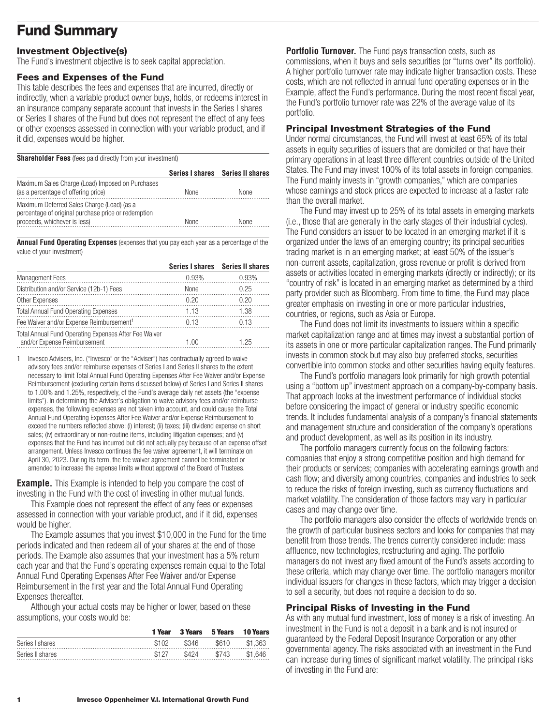## <span id="page-2-0"></span>**Fund Summary**

### **Investment Objective(s)**

The Fund's investment objective is to seek capital appreciation.

#### **Fees and Expenses of the Fund**

This table describes the fees and expenses that are incurred, directly or indirectly, when a variable product owner buys, holds, or redeems interest in an insurance company separate account that invests in the Series I shares or Series II shares of the Fund but does not represent the effect of any fees or other expenses assessed in connection with your variable product, and if it did, expenses would be higher.

| <b>Shareholder Fees</b> (fees paid directly from your investment)                                                                 |             |                                  |  |  |  |  |  |
|-----------------------------------------------------------------------------------------------------------------------------------|-------------|----------------------------------|--|--|--|--|--|
|                                                                                                                                   |             | Series I shares Series II shares |  |  |  |  |  |
| Maximum Sales Charge (Load) Imposed on Purchases<br>(as a percentage of offering price)                                           | <b>None</b> | <b>None</b>                      |  |  |  |  |  |
| Maximum Deferred Sales Charge (Load) (as a<br>percentage of original purchase price or redemption<br>proceeds, whichever is less) | None        | <b>None</b>                      |  |  |  |  |  |

**Annual Fund Operating Expenses** (expenses that you pay each year as a percentage of the value of your investment)

|                                                                                       |       | Series I shares Series II shares |
|---------------------------------------------------------------------------------------|-------|----------------------------------|
| <b>Management Fees</b>                                                                | 0.93% | 0.93%                            |
| Distribution and/or Service (12b-1) Fees                                              | None  | 0.25                             |
| Other Expenses                                                                        | በ 20  | በ 2በ                             |
| <b>Total Annual Fund Operating Expenses</b>                                           | 1.13  | 1.38                             |
| Fee Waiver and/or Expense Reimbursement <sup>1</sup>                                  | 0.13  | በ 13                             |
| Total Annual Fund Operating Expenses After Fee Waiver<br>and/or Expense Reimbursement | 100   | 1.25                             |

1 Invesco Advisers, Inc. ("Invesco" or the "Adviser") has contractually agreed to waive advisory fees and/or reimburse expenses of Series I and Series II shares to the extent necessary to limit Total Annual Fund Operating Expenses After Fee Waiver and/or Expense Reimbursement (excluding certain items discussed below) of Series I and Series II shares to 1.00% and 1.25%, respectively, of the Fund's average daily net assets (the "expense limits"). In determining the Adviser's obligation to waive advisory fees and/or reimburse expenses, the following expenses are not taken into account, and could cause the Total Annual Fund Operating Expenses After Fee Waiver and/or Expense Reimbursement to exceed the numbers reflected above: (i) interest; (ii) taxes; (iii) dividend expense on short sales; (iv) extraordinary or non-routine items, including litigation expenses; and (v) expenses that the Fund has incurred but did not actually pay because of an expense offset arrangement. Unless Invesco continues the fee waiver agreement, it will terminate on April 30, 2023. During its term, the fee waiver agreement cannot be terminated or amended to increase the expense limits without approval of the Board of Trustees.

**Example.** This Example is intended to help you compare the cost of investing in the Fund with the cost of investing in other mutual funds.

This Example does not represent the effect of any fees or expenses assessed in connection with your variable product, and if it did, expenses would be higher.

The Example assumes that you invest \$10,000 in the Fund for the time periods indicated and then redeem all of your shares at the end of those periods. The Example also assumes that your investment has a 5% return each year and that the Fund's operating expenses remain equal to the Total Annual Fund Operating Expenses After Fee Waiver and/or Expense Reimbursement in the first year and the Total Annual Fund Operating Expenses thereafter.

Although your actual costs may be higher or lower, based on these assumptions, your costs would be:

|                  | 1 Year | <b>3 Years</b> | 5 Years | <b>10 Years</b> |
|------------------|--------|----------------|---------|-----------------|
| Series I shares  | \$102  | \$346          | \$610   | \$1.363         |
| Series II shares | \$127  | \$424          | \$743   | \$1.646         |

**Portfolio Turnover.** The Fund pays transaction costs, such as commissions, when it buys and sells securities (or "turns over" its portfolio). A higher portfolio turnover rate may indicate higher transaction costs. These costs, which are not reflected in annual fund operating expenses or in the Example, affect the Fund's performance. During the most recent fiscal year, the Fund's portfolio turnover rate was 22% of the average value of its portfolio.

### **Principal Investment Strategies of the Fund**

Under normal circumstances, the Fund will invest at least 65% of its total assets in equity securities of issuers that are domiciled or that have their primary operations in at least three different countries outside of the United States. The Fund may invest 100% of its total assets in foreign companies. The Fund mainly invests in "growth companies," which are companies whose earnings and stock prices are expected to increase at a faster rate than the overall market.

The Fund may invest up to 25% of its total assets in emerging markets (i.e., those that are generally in the early stages of their industrial cycles). The Fund considers an issuer to be located in an emerging market if it is organized under the laws of an emerging country; its principal securities trading market is in an emerging market; at least 50% of the issuer's non-current assets, capitalization, gross revenue or profit is derived from assets or activities located in emerging markets (directly or indirectly); or its "country of risk" is located in an emerging market as determined by a third party provider such as Bloomberg. From time to time, the Fund may place greater emphasis on investing in one or more particular industries, countries, or regions, such as Asia or Europe.

The Fund does not limit its investments to issuers within a specific market capitalization range and at times may invest a substantial portion of its assets in one or more particular capitalization ranges. The Fund primarily invests in common stock but may also buy preferred stocks, securities convertible into common stocks and other securities having equity features.

The Fund's portfolio managers look primarily for high growth potential using a "bottom up" investment approach on a company-by-company basis. That approach looks at the investment performance of individual stocks before considering the impact of general or industry specific economic trends. It includes fundamental analysis of a company's financial statements and management structure and consideration of the company's operations and product development, as well as its position in its industry.

The portfolio managers currently focus on the following factors: companies that enjoy a strong competitive position and high demand for their products or services; companies with accelerating earnings growth and cash flow; and diversity among countries, companies and industries to seek to reduce the risks of foreign investing, such as currency fluctuations and market volatility. The consideration of those factors may vary in particular cases and may change over time.

The portfolio managers also consider the effects of worldwide trends on the growth of particular business sectors and looks for companies that may benefit from those trends. The trends currently considered include: mass affluence, new technologies, restructuring and aging. The portfolio managers do not invest any fixed amount of the Fund's assets according to these criteria, which may change over time. The portfolio managers monitor individual issuers for changes in these factors, which may trigger a decision to sell a security, but does not require a decision to do so.

### **Principal Risks of Investing in the Fund**

As with any mutual fund investment, loss of money is a risk of investing. An investment in the Fund is not a deposit in a bank and is not insured or guaranteed by the Federal Deposit Insurance Corporation or any other governmental agency. The risks associated with an investment in the Fund can increase during times of significant market volatility. The principal risks of investing in the Fund are: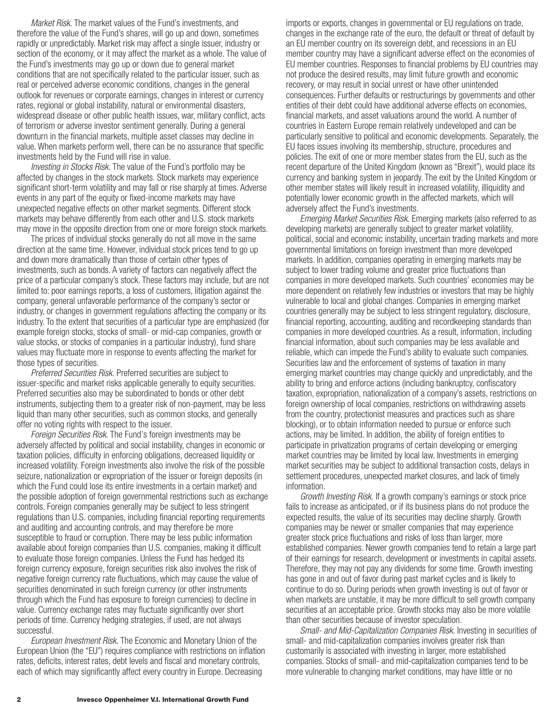*Market Risk.* The market values of the Fund's investments, and therefore the value of the Fund's shares, will go up and down, sometimes rapidly or unpredictably. Market risk may affect a single issuer, industry or section of the economy, or it may affect the market as a whole. The value of the Fund's investments may go up or down due to general market conditions that are not specifically related to the particular issuer, such as real or perceived adverse economic conditions, changes in the general outlook for revenues or corporate earnings, changes in interest or currency rates, regional or global instability, natural or environmental disasters, widespread disease or other public health issues, war, military conflict, acts of terrorism or adverse investor sentiment generally. During a general downturn in the financial markets, multiple asset classes may decline in value. When markets perform well, there can be no assurance that specific investments held by the Fund will rise in value.

*Investing in Stocks Risk.* The value of the Fund's portfolio may be affected by changes in the stock markets. Stock markets may experience significant short-term volatility and may fall or rise sharply at times. Adverse events in any part of the equity or fixed-income markets may have unexpected negative effects on other market segments. Different stock markets may behave differently from each other and U.S. stock markets may move in the opposite direction from one or more foreign stock markets.

The prices of individual stocks generally do not all move in the same direction at the same time. However, individual stock prices tend to go up and down more dramatically than those of certain other types of investments, such as bonds. A variety of factors can negatively affect the price of a particular company's stock. These factors may include, but are not limited to: poor earnings reports, a loss of customers, litigation against the company, general unfavorable performance of the company's sector or industry, or changes in government regulations affecting the company or its industry. To the extent that securities of a particular type are emphasized (for example foreign stocks, stocks of small- or mid-cap companies, growth or value stocks, or stocks of companies in a particular industry), fund share values may fluctuate more in response to events affecting the market for those types of securities.

*Preferred Securities Risk.* Preferred securities are subject to issuer-specific and market risks applicable generally to equity securities. Preferred securities also may be subordinated to bonds or other debt instruments, subjecting them to a greater risk of non-payment, may be less liquid than many other securities, such as common stocks, and generally offer no voting rights with respect to the issuer.

*Foreign Securities Risk.* The Fund's foreign investments may be adversely affected by political and social instability, changes in economic or taxation policies, difficulty in enforcing obligations, decreased liquidity or increased volatility. Foreign investments also involve the risk of the possible seizure, nationalization or expropriation of the issuer or foreign deposits (in which the Fund could lose its entire investments in a certain market) and the possible adoption of foreign governmental restrictions such as exchange controls. Foreign companies generally may be subject to less stringent regulations than U.S. companies, including financial reporting requirements and auditing and accounting controls, and may therefore be more susceptible to fraud or corruption. There may be less public information available about foreign companies than U.S. companies, making it difficult to evaluate those foreign companies. Unless the Fund has hedged its foreign currency exposure, foreign securities risk also involves the risk of negative foreign currency rate fluctuations, which may cause the value of securities denominated in such foreign currency (or other instruments through which the Fund has exposure to foreign currencies) to decline in value. Currency exchange rates may fluctuate significantly over short periods of time. Currency hedging strategies, if used, are not always successful.

*European Investment Risk.* The Economic and Monetary Union of the European Union (the "EU") requires compliance with restrictions on inflation rates, deficits, interest rates, debt levels and fiscal and monetary controls, each of which may significantly affect every country in Europe. Decreasing

imports or exports, changes in governmental or EU regulations on trade, changes in the exchange rate of the euro, the default or threat of default by an EU member country on its sovereign debt, and recessions in an EU member country may have a significant adverse effect on the economies of EU member countries. Responses to financial problems by EU countries may not produce the desired results, may limit future growth and economic recovery, or may result in social unrest or have other unintended consequences. Further defaults or restructurings by governments and other entities of their debt could have additional adverse effects on economies, financial markets, and asset valuations around the world. A number of countries in Eastern Europe remain relatively undeveloped and can be particularly sensitive to political and economic developments. Separately, the EU faces issues involving its membership, structure, procedures and policies. The exit of one or more member states from the EU, such as the recent departure of the United Kingdom (known as "Brexit"), would place its currency and banking system in jeopardy. The exit by the United Kingdom or other member states will likely result in increased volatility, illiquidity and potentially lower economic growth in the affected markets, which will adversely affect the Fund's investments.

*Emerging Market Securities Risk.* Emerging markets (also referred to as developing markets) are generally subject to greater market volatility, political, social and economic instability, uncertain trading markets and more governmental limitations on foreign investment than more developed markets. In addition, companies operating in emerging markets may be subject to lower trading volume and greater price fluctuations than companies in more developed markets. Such countries' economies may be more dependent on relatively few industries or investors that may be highly vulnerable to local and global changes. Companies in emerging market countries generally may be subject to less stringent regulatory, disclosure, financial reporting, accounting, auditing and recordkeeping standards than companies in more developed countries. As a result, information, including financial information, about such companies may be less available and reliable, which can impede the Fund's ability to evaluate such companies. Securities law and the enforcement of systems of taxation in many emerging market countries may change quickly and unpredictably, and the ability to bring and enforce actions (including bankruptcy, confiscatory taxation, expropriation, nationalization of a company's assets, restrictions on foreign ownership of local companies, restrictions on withdrawing assets from the country, protectionist measures and practices such as share blocking), or to obtain information needed to pursue or enforce such actions, may be limited. In addition, the ability of foreign entities to participate in privatization programs of certain developing or emerging market countries may be limited by local law. Investments in emerging market securities may be subject to additional transaction costs, delays in settlement procedures, unexpected market closures, and lack of timely information.

*Growth Investing Risk.* If a growth company's earnings or stock price fails to increase as anticipated, or if its business plans do not produce the expected results, the value of its securities may decline sharply. Growth companies may be newer or smaller companies that may experience greater stock price fluctuations and risks of loss than larger, more established companies. Newer growth companies tend to retain a large part of their earnings for research, development or investments in capital assets. Therefore, they may not pay any dividends for some time. Growth investing has gone in and out of favor during past market cycles and is likely to continue to do so. During periods when growth investing is out of favor or when markets are unstable, it may be more difficult to sell growth company securities at an acceptable price. Growth stocks may also be more volatile than other securities because of investor speculation.

*Small- and Mid-Capitalization Companies Risk.* Investing in securities of small- and mid-capitalization companies involves greater risk than customarily is associated with investing in larger, more established companies. Stocks of small- and mid-capitalization companies tend to be more vulnerable to changing market conditions, may have little or no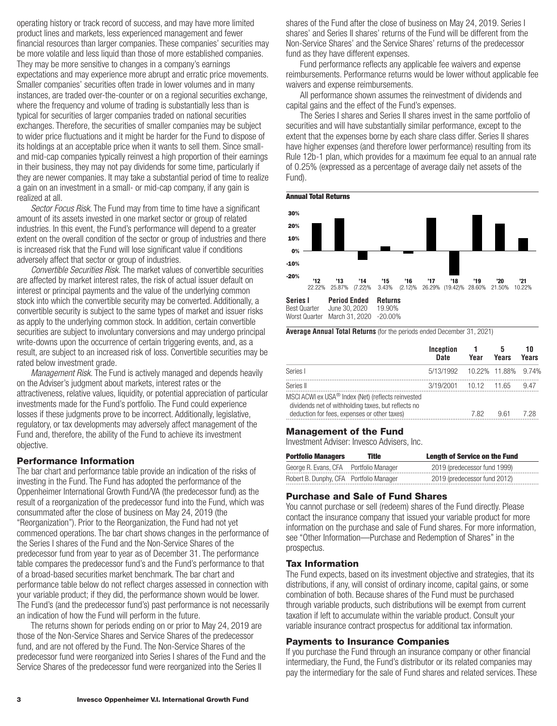operating history or track record of success, and may have more limited product lines and markets, less experienced management and fewer financial resources than larger companies. These companies' securities may be more volatile and less liquid than those of more established companies. They may be more sensitive to changes in a company's earnings expectations and may experience more abrupt and erratic price movements. Smaller companies' securities often trade in lower volumes and in many instances, are traded over-the-counter or on a regional securities exchange, where the frequency and volume of trading is substantially less than is typical for securities of larger companies traded on national securities exchanges. Therefore, the securities of smaller companies may be subject to wider price fluctuations and it might be harder for the Fund to dispose of its holdings at an acceptable price when it wants to sell them. Since smalland mid-cap companies typically reinvest a high proportion of their earnings in their business, they may not pay dividends for some time, particularly if they are newer companies. It may take a substantial period of time to realize a gain on an investment in a small- or mid-cap company, if any gain is realized at all.

*Sector Focus Risk*. The Fund may from time to time have a significant amount of its assets invested in one market sector or group of related industries. In this event, the Fund's performance will depend to a greater extent on the overall condition of the sector or group of industries and there is increased risk that the Fund will lose significant value if conditions adversely affect that sector or group of industries.

*Convertible Securities Risk.* The market values of convertible securities are affected by market interest rates, the risk of actual issuer default on interest or principal payments and the value of the underlying common stock into which the convertible security may be converted. Additionally, a convertible security is subject to the same types of market and issuer risks as apply to the underlying common stock. In addition, certain convertible securities are subject to involuntary conversions and may undergo principal write-downs upon the occurrence of certain triggering events, and, as a result, are subject to an increased risk of loss. Convertible securities may be rated below investment grade.

*Management Risk.* The Fund is actively managed and depends heavily on the Adviser's judgment about markets, interest rates or the attractiveness, relative values, liquidity, or potential appreciation of particular investments made for the Fund's portfolio. The Fund could experience losses if these judgments prove to be incorrect. Additionally, legislative, regulatory, or tax developments may adversely affect management of the Fund and, therefore, the ability of the Fund to achieve its investment objective.

#### **Performance Information**

The bar chart and performance table provide an indication of the risks of investing in the Fund. The Fund has adopted the performance of the Oppenheimer International Growth Fund/VA (the predecessor fund) as the result of a reorganization of the predecessor fund into the Fund, which was consummated after the close of business on May 24, 2019 (the "Reorganization"). Prior to the Reorganization, the Fund had not yet commenced operations. The bar chart shows changes in the performance of the Series I shares of the Fund and the Non-Service Shares of the predecessor fund from year to year as of December 31. The performance table compares the predecessor fund's and the Fund's performance to that of a broad-based securities market benchmark. The bar chart and performance table below do not reflect charges assessed in connection with your variable product; if they did, the performance shown would be lower. The Fund's (and the predecessor fund's) past performance is not necessarily an indication of how the Fund will perform in the future.

The returns shown for periods ending on or prior to May 24, 2019 are those of the Non-Service Shares and Service Shares of the predecessor fund, and are not offered by the Fund. The Non-Service Shares of the predecessor fund were reorganized into Series I shares of the Fund and the Service Shares of the predecessor fund were reorganized into the Series II

shares of the Fund after the close of business on May 24, 2019. Series I shares' and Series II shares' returns of the Fund will be different from the Non-Service Shares' and the Service Shares' returns of the predecessor fund as they have different expenses.

Fund performance reflects any applicable fee waivers and expense reimbursements. Performance returns would be lower without applicable fee waivers and expense reimbursements.

All performance shown assumes the reinvestment of dividends and capital gains and the effect of the Fund's expenses.

The Series I shares and Series II shares invest in the same portfolio of securities and will have substantially similar performance, except to the extent that the expenses borne by each share class differ. Series II shares have higher expenses (and therefore lower performance) resulting from its Rule 12b-1 plan, which provides for a maximum fee equal to an annual rate of 0.25% (expressed as a percentage of average daily net assets of the Fund).



**Average Annual Total Returns** (for the periods ended December 31, 2021)

|                                                                                                                                                           | Inception<br>Date             | Year | 5<br>Years | 10<br>Years |
|-----------------------------------------------------------------------------------------------------------------------------------------------------------|-------------------------------|------|------------|-------------|
| Series I                                                                                                                                                  | 5/13/1992 10.22% 11.88% 9.74% |      |            |             |
| Series II                                                                                                                                                 | 3/19/2001 10.12 11.65         |      |            | 9.47        |
| MSCI ACWI ex USA® Index (Net) (reflects reinvested<br>dividends net of withholding taxes, but reflects no<br>deduction for fees, expenses or other taxes) |                               | 7.82 | 9.61       | 7 28        |

#### **Management of the Fund**

Investment Adviser: Invesco Advisers, Inc.

| <b>Portfolio Managers</b>               | Title | <b>Length of Service on the Fund</b> |
|-----------------------------------------|-------|--------------------------------------|
| George R. Evans, CFA Portfolio Manager  |       | 2019 (predecessor fund 1999)         |
| Robert B. Dunphy, CFA Portfolio Manager |       | 2019 (predecessor fund 2012)         |

#### **Purchase and Sale of Fund Shares**

You cannot purchase or sell (redeem) shares of the Fund directly. Please contact the insurance company that issued your variable product for more information on the purchase and sale of Fund shares. For more information, see "Other Information—Purchase and Redemption of Shares" in the prospectus.

#### **Tax Information**

The Fund expects, based on its investment objective and strategies, that its distributions, if any, will consist of ordinary income, capital gains, or some combination of both. Because shares of the Fund must be purchased through variable products, such distributions will be exempt from current taxation if left to accumulate within the variable product. Consult your variable insurance contract prospectus for additional tax information.

#### **Payments to Insurance Companies**

If you purchase the Fund through an insurance company or other financial intermediary, the Fund, the Fund's distributor or its related companies may pay the intermediary for the sale of Fund shares and related services. These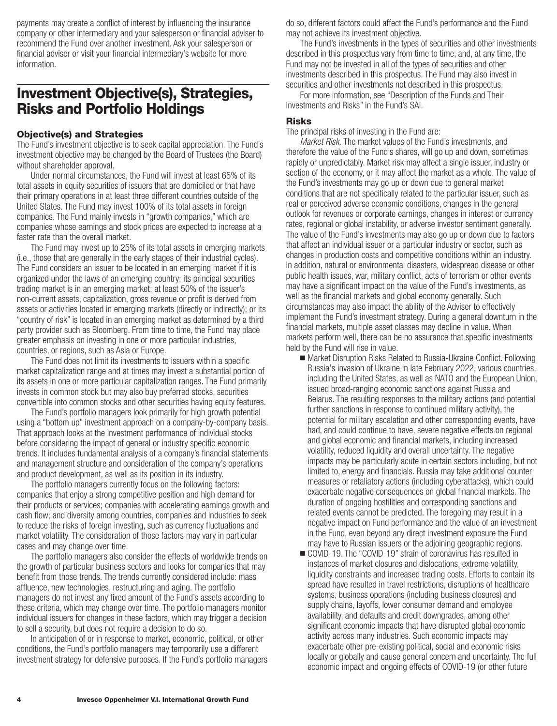<span id="page-5-0"></span>payments may create a conflict of interest by influencing the insurance company or other intermediary and your salesperson or financial adviser to recommend the Fund over another investment. Ask your salesperson or financial adviser or visit your financial intermediary's website for more information.

## **Investment Objective(s), Strategies, Risks and Portfolio Holdings**

#### **Objective(s) and Strategies**

The Fund's investment objective is to seek capital appreciation. The Fund's investment objective may be changed by the Board of Trustees (the Board) without shareholder approval.

Under normal circumstances, the Fund will invest at least 65% of its total assets in equity securities of issuers that are domiciled or that have their primary operations in at least three different countries outside of the United States. The Fund may invest 100% of its total assets in foreign companies. The Fund mainly invests in "growth companies," which are companies whose earnings and stock prices are expected to increase at a faster rate than the overall market.

The Fund may invest up to 25% of its total assets in emerging markets (i.e., those that are generally in the early stages of their industrial cycles). The Fund considers an issuer to be located in an emerging market if it is organized under the laws of an emerging country; its principal securities trading market is in an emerging market; at least 50% of the issuer's non-current assets, capitalization, gross revenue or profit is derived from assets or activities located in emerging markets (directly or indirectly); or its "country of risk" is located in an emerging market as determined by a third party provider such as Bloomberg. From time to time, the Fund may place greater emphasis on investing in one or more particular industries, countries, or regions, such as Asia or Europe.

The Fund does not limit its investments to issuers within a specific market capitalization range and at times may invest a substantial portion of its assets in one or more particular capitalization ranges. The Fund primarily invests in common stock but may also buy preferred stocks, securities convertible into common stocks and other securities having equity features.

The Fund's portfolio managers look primarily for high growth potential using a "bottom up" investment approach on a company-by-company basis. That approach looks at the investment performance of individual stocks before considering the impact of general or industry specific economic trends. It includes fundamental analysis of a company's financial statements and management structure and consideration of the company's operations and product development, as well as its position in its industry.

The portfolio managers currently focus on the following factors: companies that enjoy a strong competitive position and high demand for their products or services; companies with accelerating earnings growth and cash flow; and diversity among countries, companies and industries to seek to reduce the risks of foreign investing, such as currency fluctuations and market volatility. The consideration of those factors may vary in particular cases and may change over time.

The portfolio managers also consider the effects of worldwide trends on the growth of particular business sectors and looks for companies that may benefit from those trends. The trends currently considered include: mass affluence, new technologies, restructuring and aging. The portfolio managers do not invest any fixed amount of the Fund's assets according to these criteria, which may change over time. The portfolio managers monitor individual issuers for changes in these factors, which may trigger a decision to sell a security, but does not require a decision to do so.

In anticipation of or in response to market, economic, political, or other conditions, the Fund's portfolio managers may temporarily use a different investment strategy for defensive purposes. If the Fund's portfolio managers do so, different factors could affect the Fund's performance and the Fund may not achieve its investment objective.

The Fund's investments in the types of securities and other investments described in this prospectus vary from time to time, and, at any time, the Fund may not be invested in all of the types of securities and other investments described in this prospectus. The Fund may also invest in securities and other investments not described in this prospectus.

For more information, see "Description of the Funds and Their Investments and Risks" in the Fund's SAI.

## **Risks**

The principal risks of investing in the Fund are:

*Market Risk.* The market values of the Fund's investments, and therefore the value of the Fund's shares, will go up and down, sometimes rapidly or unpredictably. Market risk may affect a single issuer, industry or section of the economy, or it may affect the market as a whole. The value of the Fund's investments may go up or down due to general market conditions that are not specifically related to the particular issuer, such as real or perceived adverse economic conditions, changes in the general outlook for revenues or corporate earnings, changes in interest or currency rates, regional or global instability, or adverse investor sentiment generally. The value of the Fund's investments may also go up or down due to factors that affect an individual issuer or a particular industry or sector, such as changes in production costs and competitive conditions within an industry. In addition, natural or environmental disasters, widespread disease or other public health issues, war, military conflict, acts of terrorism or other events may have a significant impact on the value of the Fund's investments, as well as the financial markets and global economy generally. Such circumstances may also impact the ability of the Adviser to effectively implement the Fund's investment strategy. During a general downturn in the financial markets, multiple asset classes may decline in value. When markets perform well, there can be no assurance that specific investments held by the Fund will rise in value.

- Market Disruption Risks Related to Russia-Ukraine Conflict. Following Russia's invasion of Ukraine in late February 2022, various countries, including the United States, as well as NATO and the European Union, issued broad-ranging economic sanctions against Russia and Belarus. The resulting responses to the military actions (and potential further sanctions in response to continued military activity), the potential for military escalation and other corresponding events, have had, and could continue to have, severe negative effects on regional and global economic and financial markets, including increased volatility, reduced liquidity and overall uncertainty. The negative impacts may be particularly acute in certain sectors including, but not limited to, energy and financials. Russia may take additional counter measures or retaliatory actions (including cyberattacks), which could exacerbate negative consequences on global financial markets. The duration of ongoing hostilities and corresponding sanctions and related events cannot be predicted. The foregoing may result in a negative impact on Fund performance and the value of an investment in the Fund, even beyond any direct investment exposure the Fund may have to Russian issuers or the adjoining geographic regions.
- COVID-19. The "COVID-19" strain of coronavirus has resulted in instances of market closures and dislocations, extreme volatility, liquidity constraints and increased trading costs. Efforts to contain its spread have resulted in travel restrictions, disruptions of healthcare systems, business operations (including business closures) and supply chains, layoffs, lower consumer demand and employee availability, and defaults and credit downgrades, among other significant economic impacts that have disrupted global economic activity across many industries. Such economic impacts may exacerbate other pre-existing political, social and economic risks locally or globally and cause general concern and uncertainty. The full economic impact and ongoing effects of COVID-19 (or other future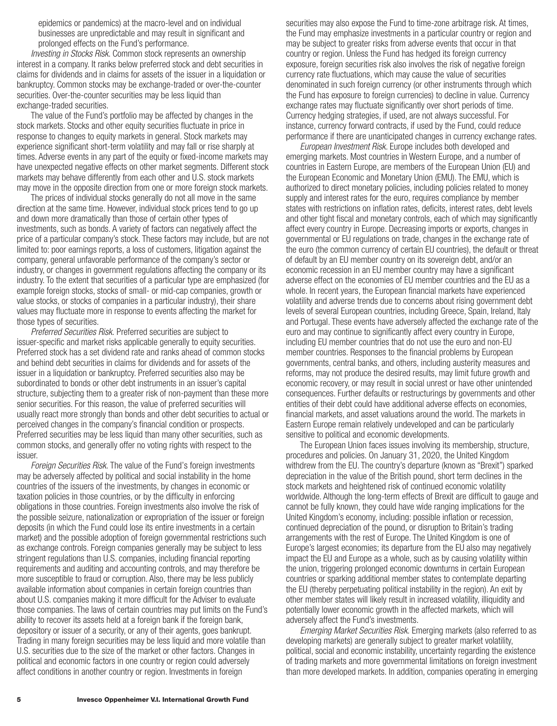epidemics or pandemics) at the macro-level and on individual businesses are unpredictable and may result in significant and prolonged effects on the Fund's performance.

*Investing in Stocks Risk*. Common stock represents an ownership interest in a company. It ranks below preferred stock and debt securities in claims for dividends and in claims for assets of the issuer in a liquidation or bankruptcy. Common stocks may be exchange-traded or over-the-counter securities. Over-the-counter securities may be less liquid than exchange-traded securities.

The value of the Fund's portfolio may be affected by changes in the stock markets. Stocks and other equity securities fluctuate in price in response to changes to equity markets in general. Stock markets may experience significant short-term volatility and may fall or rise sharply at times. Adverse events in any part of the equity or fixed-income markets may have unexpected negative effects on other market segments. Different stock markets may behave differently from each other and U.S. stock markets may move in the opposite direction from one or more foreign stock markets.

The prices of individual stocks generally do not all move in the same direction at the same time. However, individual stock prices tend to go up and down more dramatically than those of certain other types of investments, such as bonds. A variety of factors can negatively affect the price of a particular company's stock. These factors may include, but are not limited to: poor earnings reports, a loss of customers, litigation against the company, general unfavorable performance of the company's sector or industry, or changes in government regulations affecting the company or its industry. To the extent that securities of a particular type are emphasized (for example foreign stocks, stocks of small- or mid-cap companies, growth or value stocks, or stocks of companies in a particular industry), their share values may fluctuate more in response to events affecting the market for those types of securities.

*Preferred Securities Risk.* Preferred securities are subject to issuer-specific and market risks applicable generally to equity securities. Preferred stock has a set dividend rate and ranks ahead of common stocks and behind debt securities in claims for dividends and for assets of the issuer in a liquidation or bankruptcy. Preferred securities also may be subordinated to bonds or other debt instruments in an issuer's capital structure, subjecting them to a greater risk of non-payment than these more senior securities. For this reason, the value of preferred securities will usually react more strongly than bonds and other debt securities to actual or perceived changes in the company's financial condition or prospects. Preferred securities may be less liquid than many other securities, such as common stocks, and generally offer no voting rights with respect to the issuer.

*Foreign Securities Risk.* The value of the Fund's foreign investments may be adversely affected by political and social instability in the home countries of the issuers of the investments, by changes in economic or taxation policies in those countries, or by the difficulty in enforcing obligations in those countries. Foreign investments also involve the risk of the possible seizure, nationalization or expropriation of the issuer or foreign deposits (in which the Fund could lose its entire investments in a certain market) and the possible adoption of foreign governmental restrictions such as exchange controls. Foreign companies generally may be subject to less stringent regulations than U.S. companies, including financial reporting requirements and auditing and accounting controls, and may therefore be more susceptible to fraud or corruption. Also, there may be less publicly available information about companies in certain foreign countries than about U.S. companies making it more difficult for the Adviser to evaluate those companies. The laws of certain countries may put limits on the Fund's ability to recover its assets held at a foreign bank if the foreign bank, depository or issuer of a security, or any of their agents, goes bankrupt. Trading in many foreign securities may be less liquid and more volatile than U.S. securities due to the size of the market or other factors. Changes in political and economic factors in one country or region could adversely affect conditions in another country or region. Investments in foreign

securities may also expose the Fund to time-zone arbitrage risk. At times, the Fund may emphasize investments in a particular country or region and may be subject to greater risks from adverse events that occur in that country or region. Unless the Fund has hedged its foreign currency exposure, foreign securities risk also involves the risk of negative foreign currency rate fluctuations, which may cause the value of securities denominated in such foreign currency (or other instruments through which the Fund has exposure to foreign currencies) to decline in value. Currency exchange rates may fluctuate significantly over short periods of time. Currency hedging strategies, if used, are not always successful. For instance, currency forward contracts, if used by the Fund, could reduce performance if there are unanticipated changes in currency exchange rates.

*European Investment Risk.* Europe includes both developed and emerging markets. Most countries in Western Europe, and a number of countries in Eastern Europe, are members of the European Union (EU) and the European Economic and Monetary Union (EMU). The EMU, which is authorized to direct monetary policies, including policies related to money supply and interest rates for the euro, requires compliance by member states with restrictions on inflation rates, deficits, interest rates, debt levels and other tight fiscal and monetary controls, each of which may significantly affect every country in Europe. Decreasing imports or exports, changes in governmental or EU regulations on trade, changes in the exchange rate of the euro (the common currency of certain EU countries), the default or threat of default by an EU member country on its sovereign debt, and/or an economic recession in an EU member country may have a significant adverse effect on the economies of EU member countries and the EU as a whole. In recent years, the European financial markets have experienced volatility and adverse trends due to concerns about rising government debt levels of several European countries, including Greece, Spain, Ireland, Italy and Portugal. These events have adversely affected the exchange rate of the euro and may continue to significantly affect every country in Europe, including EU member countries that do not use the euro and non-EU member countries. Responses to the financial problems by European governments, central banks, and others, including austerity measures and reforms, may not produce the desired results, may limit future growth and economic recovery, or may result in social unrest or have other unintended consequences. Further defaults or restructurings by governments and other entities of their debt could have additional adverse effects on economies, financial markets, and asset valuations around the world. The markets in Eastern Europe remain relatively undeveloped and can be particularly sensitive to political and economic developments.

The European Union faces issues involving its membership, structure, procedures and policies. On January 31, 2020, the United Kingdom withdrew from the EU. The country's departure (known as "Brexit") sparked depreciation in the value of the British pound, short term declines in the stock markets and heightened risk of continued economic volatility worldwide. Although the long-term effects of Brexit are difficult to gauge and cannot be fully known, they could have wide ranging implications for the United Kingdom's economy, including: possible inflation or recession, continued depreciation of the pound, or disruption to Britain's trading arrangements with the rest of Europe. The United Kingdom is one of Europe's largest economies; its departure from the EU also may negatively impact the EU and Europe as a whole, such as by causing volatility within the union, triggering prolonged economic downturns in certain European countries or sparking additional member states to contemplate departing the EU (thereby perpetuating political instability in the region). An exit by other member states will likely result in increased volatility, illiquidity and potentially lower economic growth in the affected markets, which will adversely affect the Fund's investments.

*Emerging Market Securities Risk.* Emerging markets (also referred to as developing markets) are generally subject to greater market volatility, political, social and economic instability, uncertainty regarding the existence of trading markets and more governmental limitations on foreign investment than more developed markets. In addition, companies operating in emerging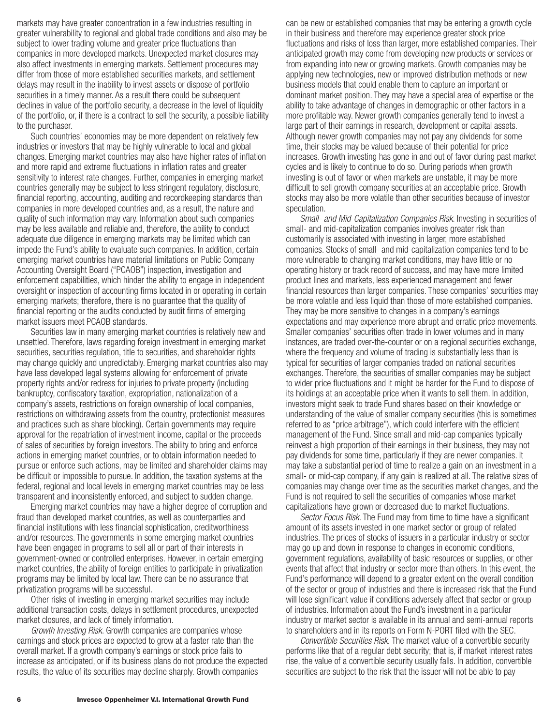markets may have greater concentration in a few industries resulting in greater vulnerability to regional and global trade conditions and also may be subject to lower trading volume and greater price fluctuations than companies in more developed markets. Unexpected market closures may also affect investments in emerging markets. Settlement procedures may differ from those of more established securities markets, and settlement delays may result in the inability to invest assets or dispose of portfolio securities in a timely manner. As a result there could be subsequent declines in value of the portfolio security, a decrease in the level of liquidity of the portfolio, or, if there is a contract to sell the security, a possible liability to the purchaser.

Such countries' economies may be more dependent on relatively few industries or investors that may be highly vulnerable to local and global changes. Emerging market countries may also have higher rates of inflation and more rapid and extreme fluctuations in inflation rates and greater sensitivity to interest rate changes. Further, companies in emerging market countries generally may be subject to less stringent regulatory, disclosure, financial reporting, accounting, auditing and recordkeeping standards than companies in more developed countries and, as a result, the nature and quality of such information may vary. Information about such companies may be less available and reliable and, therefore, the ability to conduct adequate due diligence in emerging markets may be limited which can impede the Fund's ability to evaluate such companies. In addition, certain emerging market countries have material limitations on Public Company Accounting Oversight Board ("PCAOB") inspection, investigation and enforcement capabilities, which hinder the ability to engage in independent oversight or inspection of accounting firms located in or operating in certain emerging markets; therefore, there is no guarantee that the quality of financial reporting or the audits conducted by audit firms of emerging market issuers meet PCAOB standards.

Securities law in many emerging market countries is relatively new and unsettled. Therefore, laws regarding foreign investment in emerging market securities, securities regulation, title to securities, and shareholder rights may change quickly and unpredictably. Emerging market countries also may have less developed legal systems allowing for enforcement of private property rights and/or redress for injuries to private property (including bankruptcy, confiscatory taxation, expropriation, nationalization of a company's assets, restrictions on foreign ownership of local companies, restrictions on withdrawing assets from the country, protectionist measures and practices such as share blocking). Certain governments may require approval for the repatriation of investment income, capital or the proceeds of sales of securities by foreign investors. The ability to bring and enforce actions in emerging market countries, or to obtain information needed to pursue or enforce such actions, may be limited and shareholder claims may be difficult or impossible to pursue. In addition, the taxation systems at the federal, regional and local levels in emerging market countries may be less transparent and inconsistently enforced, and subject to sudden change.

Emerging market countries may have a higher degree of corruption and fraud than developed market countries, as well as counterparties and financial institutions with less financial sophistication, creditworthiness and/or resources. The governments in some emerging market countries have been engaged in programs to sell all or part of their interests in government-owned or controlled enterprises. However, in certain emerging market countries, the ability of foreign entities to participate in privatization programs may be limited by local law. There can be no assurance that privatization programs will be successful.

Other risks of investing in emerging market securities may include additional transaction costs, delays in settlement procedures, unexpected market closures, and lack of timely information.

*Growth Investing Risk*. Growth companies are companies whose earnings and stock prices are expected to grow at a faster rate than the overall market. If a growth company's earnings or stock price fails to increase as anticipated, or if its business plans do not produce the expected results, the value of its securities may decline sharply. Growth companies

can be new or established companies that may be entering a growth cycle in their business and therefore may experience greater stock price fluctuations and risks of loss than larger, more established companies. Their anticipated growth may come from developing new products or services or from expanding into new or growing markets. Growth companies may be applying new technologies, new or improved distribution methods or new business models that could enable them to capture an important or dominant market position. They may have a special area of expertise or the ability to take advantage of changes in demographic or other factors in a more profitable way. Newer growth companies generally tend to invest a large part of their earnings in research, development or capital assets. Although newer growth companies may not pay any dividends for some time, their stocks may be valued because of their potential for price increases. Growth investing has gone in and out of favor during past market cycles and is likely to continue to do so. During periods when growth investing is out of favor or when markets are unstable, it may be more difficult to sell growth company securities at an acceptable price. Growth stocks may also be more volatile than other securities because of investor speculation.

*Small- and Mid-Capitalization Companies Risk*. Investing in securities of small- and mid-capitalization companies involves greater risk than customarily is associated with investing in larger, more established companies. Stocks of small- and mid-capitalization companies tend to be more vulnerable to changing market conditions, may have little or no operating history or track record of success, and may have more limited product lines and markets, less experienced management and fewer financial resources than larger companies. These companies' securities may be more volatile and less liquid than those of more established companies. They may be more sensitive to changes in a company's earnings expectations and may experience more abrupt and erratic price movements. Smaller companies' securities often trade in lower volumes and in many instances, are traded over-the-counter or on a regional securities exchange, where the frequency and volume of trading is substantially less than is typical for securities of larger companies traded on national securities exchanges. Therefore, the securities of smaller companies may be subject to wider price fluctuations and it might be harder for the Fund to dispose of its holdings at an acceptable price when it wants to sell them. In addition, investors might seek to trade Fund shares based on their knowledge or understanding of the value of smaller company securities (this is sometimes referred to as "price arbitrage"), which could interfere with the efficient management of the Fund. Since small and mid-cap companies typically reinvest a high proportion of their earnings in their business, they may not pay dividends for some time, particularly if they are newer companies. It may take a substantial period of time to realize a gain on an investment in a small- or mid-cap company, if any gain is realized at all. The relative sizes of companies may change over time as the securities market changes, and the Fund is not required to sell the securities of companies whose market capitalizations have grown or decreased due to market fluctuations.

*Sector Focus Risk*. The Fund may from time to time have a significant amount of its assets invested in one market sector or group of related industries. The prices of stocks of issuers in a particular industry or sector may go up and down in response to changes in economic conditions, government regulations, availability of basic resources or supplies, or other events that affect that industry or sector more than others. In this event, the Fund's performance will depend to a greater extent on the overall condition of the sector or group of industries and there is increased risk that the Fund will lose significant value if conditions adversely affect that sector or group of industries. Information about the Fund's investment in a particular industry or market sector is available in its annual and semi-annual reports to shareholders and in its reports on Form N-PORT filed with the SEC.

*Convertible Securities Risk.* The market value of a convertible security performs like that of a regular debt security; that is, if market interest rates rise, the value of a convertible security usually falls. In addition, convertible securities are subject to the risk that the issuer will not be able to pay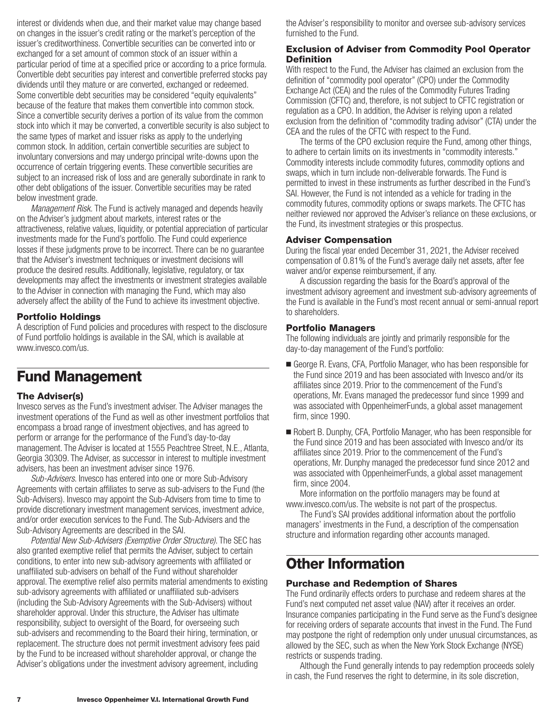<span id="page-8-0"></span>interest or dividends when due, and their market value may change based on changes in the issuer's credit rating or the market's perception of the issuer's creditworthiness. Convertible securities can be converted into or exchanged for a set amount of common stock of an issuer within a particular period of time at a specified price or according to a price formula. Convertible debt securities pay interest and convertible preferred stocks pay dividends until they mature or are converted, exchanged or redeemed. Some convertible debt securities may be considered "equity equivalents" because of the feature that makes them convertible into common stock. Since a convertible security derives a portion of its value from the common stock into which it may be converted, a convertible security is also subject to the same types of market and issuer risks as apply to the underlying common stock. In addition, certain convertible securities are subject to involuntary conversions and may undergo principal write-downs upon the occurrence of certain triggering events. These convertible securities are subject to an increased risk of loss and are generally subordinate in rank to other debt obligations of the issuer. Convertible securities may be rated below investment grade.

*Management Risk.* The Fund is actively managed and depends heavily on the Adviser's judgment about markets, interest rates or the attractiveness, relative values, liquidity, or potential appreciation of particular investments made for the Fund's portfolio. The Fund could experience losses if these judgments prove to be incorrect. There can be no guarantee that the Adviser's investment techniques or investment decisions will produce the desired results. Additionally, legislative, regulatory, or tax developments may affect the investments or investment strategies available to the Adviser in connection with managing the Fund, which may also adversely affect the ability of the Fund to achieve its investment objective.

#### **Portfolio Holdings**

A description of Fund policies and procedures with respect to the disclosure of Fund portfolio holdings is available in the SAI, which is available at www.invesco.com/us.

## **Fund Management**

#### **The Adviser(s)**

Invesco serves as the Fund's investment adviser. The Adviser manages the investment operations of the Fund as well as other investment portfolios that encompass a broad range of investment objectives, and has agreed to perform or arrange for the performance of the Fund's day-to-day management. The Adviser is located at 1555 Peachtree Street, N.E., Atlanta, Georgia 30309. The Adviser, as successor in interest to multiple investment advisers, has been an investment adviser since 1976.

*Sub-Advisers*. Invesco has entered into one or more Sub-Advisory Agreements with certain affiliates to serve as sub-advisers to the Fund (the Sub-Advisers). Invesco may appoint the Sub-Advisers from time to time to provide discretionary investment management services, investment advice, and/or order execution services to the Fund. The Sub-Advisers and the Sub-Advisory Agreements are described in the SAI.

*Potential New Sub-Advisers (Exemptive Order Structure)*. The SEC has also granted exemptive relief that permits the Adviser, subject to certain conditions, to enter into new sub-advisory agreements with affiliated or unaffiliated sub-advisers on behalf of the Fund without shareholder approval. The exemptive relief also permits material amendments to existing sub-advisory agreements with affiliated or unaffiliated sub-advisers (including the Sub-Advisory Agreements with the Sub-Advisers) without shareholder approval. Under this structure, the Adviser has ultimate responsibility, subject to oversight of the Board, for overseeing such sub-advisers and recommending to the Board their hiring, termination, or replacement. The structure does not permit investment advisory fees paid by the Fund to be increased without shareholder approval, or change the Adviser's obligations under the investment advisory agreement, including

the Adviser's responsibility to monitor and oversee sub-advisory services furnished to the Fund.

#### **Exclusion of Adviser from Commodity Pool Operator Definition**

With respect to the Fund, the Adviser has claimed an exclusion from the definition of "commodity pool operator" (CPO) under the Commodity Exchange Act (CEA) and the rules of the Commodity Futures Trading Commission (CFTC) and, therefore, is not subject to CFTC registration or regulation as a CPO. In addition, the Adviser is relying upon a related exclusion from the definition of "commodity trading advisor" (CTA) under the CEA and the rules of the CFTC with respect to the Fund.

The terms of the CPO exclusion require the Fund, among other things, to adhere to certain limits on its investments in "commodity interests." Commodity interests include commodity futures, commodity options and swaps, which in turn include non-deliverable forwards. The Fund is permitted to invest in these instruments as further described in the Fund's SAI. However, the Fund is not intended as a vehicle for trading in the commodity futures, commodity options or swaps markets. The CFTC has neither reviewed nor approved the Adviser's reliance on these exclusions, or the Fund, its investment strategies or this prospectus.

#### **Adviser Compensation**

During the fiscal year ended December 31, 2021, the Adviser received compensation of 0.81% of the Fund's average daily net assets, after fee waiver and/or expense reimbursement, if any.

A discussion regarding the basis for the Board's approval of the investment advisory agreement and investment sub-advisory agreements of the Fund is available in the Fund's most recent annual or semi-annual report to shareholders.

#### **Portfolio Managers**

The following individuals are jointly and primarily responsible for the day-to-day management of the Fund's portfolio:

- George R. Evans, CFA, Portfolio Manager, who has been responsible for the Fund since 2019 and has been associated with Invesco and/or its affiliates since 2019. Prior to the commencement of the Fund's operations, Mr. Evans managed the predecessor fund since 1999 and was associated with OppenheimerFunds, a global asset management firm, since 1990.
- Robert B. Dunphy, CFA, Portfolio Manager, who has been responsible for the Fund since 2019 and has been associated with Invesco and/or its affiliates since 2019. Prior to the commencement of the Fund's operations, Mr. Dunphy managed the predecessor fund since 2012 and was associated with OppenheimerFunds, a global asset management firm, since 2004.

More information on the portfolio managers may be found at www.invesco.com/us. The website is not part of the prospectus.

The Fund's SAI provides additional information about the portfolio managers' investments in the Fund, a description of the compensation structure and information regarding other accounts managed.

## **Other Information**

#### **Purchase and Redemption of Shares**

The Fund ordinarily effects orders to purchase and redeem shares at the Fund's next computed net asset value (NAV) after it receives an order. Insurance companies participating in the Fund serve as the Fund's designee for receiving orders of separate accounts that invest in the Fund. The Fund may postpone the right of redemption only under unusual circumstances, as allowed by the SEC, such as when the New York Stock Exchange (NYSE) restricts or suspends trading.

Although the Fund generally intends to pay redemption proceeds solely in cash, the Fund reserves the right to determine, in its sole discretion,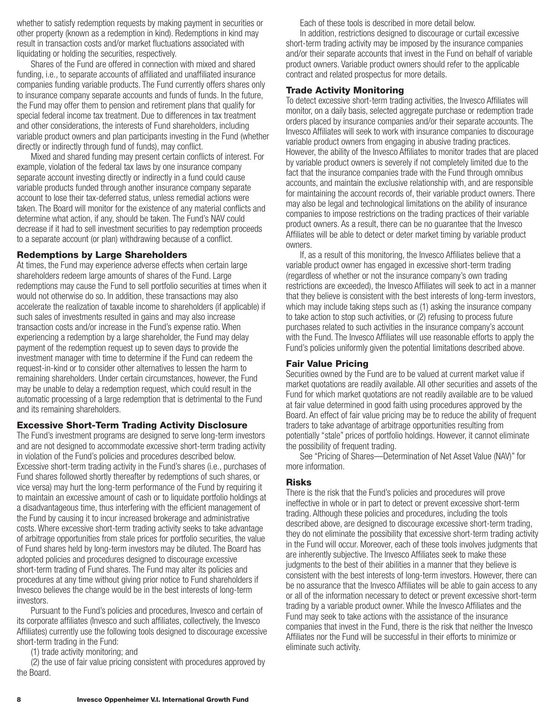<span id="page-9-0"></span>whether to satisfy redemption requests by making payment in securities or other property (known as a redemption in kind). Redemptions in kind may result in transaction costs and/or market fluctuations associated with liquidating or holding the securities, respectively.

Shares of the Fund are offered in connection with mixed and shared funding, i.e., to separate accounts of affiliated and unaffiliated insurance companies funding variable products. The Fund currently offers shares only to insurance company separate accounts and funds of funds. In the future, the Fund may offer them to pension and retirement plans that qualify for special federal income tax treatment. Due to differences in tax treatment and other considerations, the interests of Fund shareholders, including variable product owners and plan participants investing in the Fund (whether directly or indirectly through fund of funds), may conflict.

Mixed and shared funding may present certain conflicts of interest. For example, violation of the federal tax laws by one insurance company separate account investing directly or indirectly in a fund could cause variable products funded through another insurance company separate account to lose their tax-deferred status, unless remedial actions were taken. The Board will monitor for the existence of any material conflicts and determine what action, if any, should be taken. The Fund's NAV could decrease if it had to sell investment securities to pay redemption proceeds to a separate account (or plan) withdrawing because of a conflict.

#### **Redemptions by Large Shareholders**

At times, the Fund may experience adverse effects when certain large shareholders redeem large amounts of shares of the Fund. Large redemptions may cause the Fund to sell portfolio securities at times when it would not otherwise do so. In addition, these transactions may also accelerate the realization of taxable income to shareholders (if applicable) if such sales of investments resulted in gains and may also increase transaction costs and/or increase in the Fund's expense ratio. When experiencing a redemption by a large shareholder, the Fund may delay payment of the redemption request up to seven days to provide the investment manager with time to determine if the Fund can redeem the request-in-kind or to consider other alternatives to lessen the harm to remaining shareholders. Under certain circumstances, however, the Fund may be unable to delay a redemption request, which could result in the automatic processing of a large redemption that is detrimental to the Fund and its remaining shareholders.

#### **Excessive Short-Term Trading Activity Disclosure**

The Fund's investment programs are designed to serve long-term investors and are not designed to accommodate excessive short-term trading activity in violation of the Fund's policies and procedures described below. Excessive short-term trading activity in the Fund's shares (i.e., purchases of Fund shares followed shortly thereafter by redemptions of such shares, or vice versa) may hurt the long-term performance of the Fund by requiring it to maintain an excessive amount of cash or to liquidate portfolio holdings at a disadvantageous time, thus interfering with the efficient management of the Fund by causing it to incur increased brokerage and administrative costs. Where excessive short-term trading activity seeks to take advantage of arbitrage opportunities from stale prices for portfolio securities, the value of Fund shares held by long-term investors may be diluted. The Board has adopted policies and procedures designed to discourage excessive short-term trading of Fund shares. The Fund may alter its policies and procedures at any time without giving prior notice to Fund shareholders if Invesco believes the change would be in the best interests of long-term investors.

Pursuant to the Fund's policies and procedures, Invesco and certain of its corporate affiliates (Invesco and such affiliates, collectively, the Invesco Affiliates) currently use the following tools designed to discourage excessive short-term trading in the Fund:

(1) trade activity monitoring; and

(2) the use of fair value pricing consistent with procedures approved by the Board.

Each of these tools is described in more detail below.

In addition, restrictions designed to discourage or curtail excessive short-term trading activity may be imposed by the insurance companies and/or their separate accounts that invest in the Fund on behalf of variable product owners. Variable product owners should refer to the applicable contract and related prospectus for more details.

#### **Trade Activity Monitoring**

To detect excessive short-term trading activities, the Invesco Affiliates will monitor, on a daily basis, selected aggregate purchase or redemption trade orders placed by insurance companies and/or their separate accounts. The Invesco Affiliates will seek to work with insurance companies to discourage variable product owners from engaging in abusive trading practices. However, the ability of the Invesco Affiliates to monitor trades that are placed by variable product owners is severely if not completely limited due to the fact that the insurance companies trade with the Fund through omnibus accounts, and maintain the exclusive relationship with, and are responsible for maintaining the account records of, their variable product owners. There may also be legal and technological limitations on the ability of insurance companies to impose restrictions on the trading practices of their variable product owners. As a result, there can be no guarantee that the Invesco Affiliates will be able to detect or deter market timing by variable product owners.

If, as a result of this monitoring, the Invesco Affiliates believe that a variable product owner has engaged in excessive short-term trading (regardless of whether or not the insurance company's own trading restrictions are exceeded), the Invesco Affiliates will seek to act in a manner that they believe is consistent with the best interests of long-term investors, which may include taking steps such as (1) asking the insurance company to take action to stop such activities, or (2) refusing to process future purchases related to such activities in the insurance company's account with the Fund. The Invesco Affiliates will use reasonable efforts to apply the Fund's policies uniformly given the potential limitations described above.

#### **Fair Value Pricing**

Securities owned by the Fund are to be valued at current market value if market quotations are readily available. All other securities and assets of the Fund for which market quotations are not readily available are to be valued at fair value determined in good faith using procedures approved by the Board. An effect of fair value pricing may be to reduce the ability of frequent traders to take advantage of arbitrage opportunities resulting from potentially "stale" prices of portfolio holdings. However, it cannot eliminate the possibility of frequent trading.

See "Pricing of Shares—Determination of Net Asset Value (NAV)" for more information.

### **Risks**

There is the risk that the Fund's policies and procedures will prove ineffective in whole or in part to detect or prevent excessive short-term trading. Although these policies and procedures, including the tools described above, are designed to discourage excessive short-term trading, they do not eliminate the possibility that excessive short-term trading activity in the Fund will occur. Moreover, each of these tools involves judgments that are inherently subjective. The Invesco Affiliates seek to make these judgments to the best of their abilities in a manner that they believe is consistent with the best interests of long-term investors. However, there can be no assurance that the Invesco Affiliates will be able to gain access to any or all of the information necessary to detect or prevent excessive short-term trading by a variable product owner. While the Invesco Affiliates and the Fund may seek to take actions with the assistance of the insurance companies that invest in the Fund, there is the risk that neither the Invesco Affiliates nor the Fund will be successful in their efforts to minimize or eliminate such activity.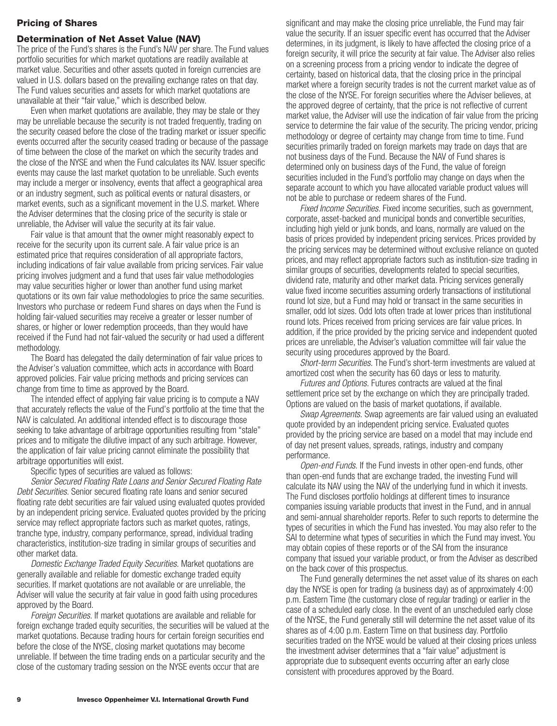#### <span id="page-10-0"></span>**Pricing of Shares**

#### **Determination of Net Asset Value (NAV)**

The price of the Fund's shares is the Fund's NAV per share. The Fund values portfolio securities for which market quotations are readily available at market value. Securities and other assets quoted in foreign currencies are valued in U.S. dollars based on the prevailing exchange rates on that day. The Fund values securities and assets for which market quotations are unavailable at their "fair value," which is described below.

Even when market quotations are available, they may be stale or they may be unreliable because the security is not traded frequently, trading on the security ceased before the close of the trading market or issuer specific events occurred after the security ceased trading or because of the passage of time between the close of the market on which the security trades and the close of the NYSE and when the Fund calculates its NAV. Issuer specific events may cause the last market quotation to be unreliable. Such events may include a merger or insolvency, events that affect a geographical area or an industry segment, such as political events or natural disasters, or market events, such as a significant movement in the U.S. market. Where the Adviser determines that the closing price of the security is stale or unreliable, the Adviser will value the security at its fair value.

Fair value is that amount that the owner might reasonably expect to receive for the security upon its current sale. A fair value price is an estimated price that requires consideration of all appropriate factors, including indications of fair value available from pricing services. Fair value pricing involves judgment and a fund that uses fair value methodologies may value securities higher or lower than another fund using market quotations or its own fair value methodologies to price the same securities. Investors who purchase or redeem Fund shares on days when the Fund is holding fair-valued securities may receive a greater or lesser number of shares, or higher or lower redemption proceeds, than they would have received if the Fund had not fair-valued the security or had used a different methodology.

The Board has delegated the daily determination of fair value prices to the Adviser's valuation committee, which acts in accordance with Board approved policies. Fair value pricing methods and pricing services can change from time to time as approved by the Board.

The intended effect of applying fair value pricing is to compute a NAV that accurately reflects the value of the Fund's portfolio at the time that the NAV is calculated. An additional intended effect is to discourage those seeking to take advantage of arbitrage opportunities resulting from "stale" prices and to mitigate the dilutive impact of any such arbitrage. However, the application of fair value pricing cannot eliminate the possibility that arbitrage opportunities will exist.

Specific types of securities are valued as follows:

*Senior Secured Floating Rate Loans and Senior Secured Floating Rate Debt Securities.* Senior secured floating rate loans and senior secured floating rate debt securities are fair valued using evaluated quotes provided by an independent pricing service. Evaluated quotes provided by the pricing service may reflect appropriate factors such as market quotes, ratings, tranche type, industry, company performance, spread, individual trading characteristics, institution-size trading in similar groups of securities and other market data.

*Domestic Exchange Traded Equity Securities.* Market quotations are generally available and reliable for domestic exchange traded equity securities. If market quotations are not available or are unreliable, the Adviser will value the security at fair value in good faith using procedures approved by the Board.

*Foreign Securities.* If market quotations are available and reliable for foreign exchange traded equity securities, the securities will be valued at the market quotations. Because trading hours for certain foreign securities end before the close of the NYSE, closing market quotations may become unreliable. If between the time trading ends on a particular security and the close of the customary trading session on the NYSE events occur that are

significant and may make the closing price unreliable, the Fund may fair value the security. If an issuer specific event has occurred that the Adviser determines, in its judgment, is likely to have affected the closing price of a foreign security, it will price the security at fair value. The Adviser also relies on a screening process from a pricing vendor to indicate the degree of certainty, based on historical data, that the closing price in the principal market where a foreign security trades is not the current market value as of the close of the NYSE. For foreign securities where the Adviser believes, at the approved degree of certainty, that the price is not reflective of current market value, the Adviser will use the indication of fair value from the pricing service to determine the fair value of the security. The pricing vendor, pricing methodology or degree of certainty may change from time to time. Fund securities primarily traded on foreign markets may trade on days that are not business days of the Fund. Because the NAV of Fund shares is determined only on business days of the Fund, the value of foreign securities included in the Fund's portfolio may change on days when the separate account to which you have allocated variable product values will not be able to purchase or redeem shares of the Fund.

*Fixed Income Securities.* Fixed income securities, such as government, corporate, asset-backed and municipal bonds and convertible securities, including high yield or junk bonds, and loans, normally are valued on the basis of prices provided by independent pricing services. Prices provided by the pricing services may be determined without exclusive reliance on quoted prices, and may reflect appropriate factors such as institution-size trading in similar groups of securities, developments related to special securities, dividend rate, maturity and other market data. Pricing services generally value fixed income securities assuming orderly transactions of institutional round lot size, but a Fund may hold or transact in the same securities in smaller, odd lot sizes. Odd lots often trade at lower prices than institutional round lots. Prices received from pricing services are fair value prices. In addition, if the price provided by the pricing service and independent quoted prices are unreliable, the Adviser's valuation committee will fair value the security using procedures approved by the Board.

*Short-term Securities.* The Fund's short-term investments are valued at amortized cost when the security has 60 days or less to maturity.

*Futures and Options.* Futures contracts are valued at the final settlement price set by the exchange on which they are principally traded. Options are valued on the basis of market quotations, if available.

*Swap Agreements.* Swap agreements are fair valued using an evaluated quote provided by an independent pricing service. Evaluated quotes provided by the pricing service are based on a model that may include end of day net present values, spreads, ratings, industry and company performance.

*Open-end Funds.* If the Fund invests in other open-end funds, other than open-end funds that are exchange traded, the investing Fund will calculate its NAV using the NAV of the underlying fund in which it invests. The Fund discloses portfolio holdings at different times to insurance companies issuing variable products that invest in the Fund, and in annual and semi-annual shareholder reports. Refer to such reports to determine the types of securities in which the Fund has invested. You may also refer to the SAI to determine what types of securities in which the Fund may invest. You may obtain copies of these reports or of the SAI from the insurance company that issued your variable product, or from the Adviser as described on the back cover of this prospectus.

The Fund generally determines the net asset value of its shares on each day the NYSE is open for trading (a business day) as of approximately 4:00 p.m. Eastern Time (the customary close of regular trading) or earlier in the case of a scheduled early close. In the event of an unscheduled early close of the NYSE, the Fund generally still will determine the net asset value of its shares as of 4:00 p.m. Eastern Time on that business day. Portfolio securities traded on the NYSE would be valued at their closing prices unless the investment adviser determines that a "fair value" adjustment is appropriate due to subsequent events occurring after an early close consistent with procedures approved by the Board.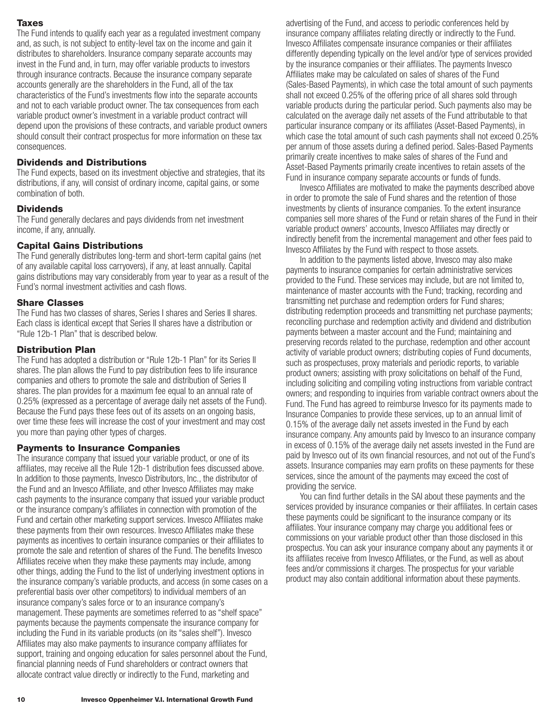### <span id="page-11-0"></span>**Taxes**

The Fund intends to qualify each year as a regulated investment company and, as such, is not subject to entity-level tax on the income and gain it distributes to shareholders. Insurance company separate accounts may invest in the Fund and, in turn, may offer variable products to investors through insurance contracts. Because the insurance company separate accounts generally are the shareholders in the Fund, all of the tax characteristics of the Fund's investments flow into the separate accounts and not to each variable product owner. The tax consequences from each variable product owner's investment in a variable product contract will depend upon the provisions of these contracts, and variable product owners should consult their contract prospectus for more information on these tax consequences.

### **Dividends and Distributions**

The Fund expects, based on its investment objective and strategies, that its distributions, if any, will consist of ordinary income, capital gains, or some combination of both.

#### **Dividends**

The Fund generally declares and pays dividends from net investment income, if any, annually.

### **Capital Gains Distributions**

The Fund generally distributes long-term and short-term capital gains (net of any available capital loss carryovers), if any, at least annually. Capital gains distributions may vary considerably from year to year as a result of the Fund's normal investment activities and cash flows.

### **Share Classes**

The Fund has two classes of shares, Series I shares and Series II shares. Each class is identical except that Series II shares have a distribution or "Rule 12b-1 Plan" that is described below.

### **Distribution Plan**

The Fund has adopted a distribution or "Rule 12b-1 Plan" for its Series II shares. The plan allows the Fund to pay distribution fees to life insurance companies and others to promote the sale and distribution of Series II shares. The plan provides for a maximum fee equal to an annual rate of 0.25% (expressed as a percentage of average daily net assets of the Fund). Because the Fund pays these fees out of its assets on an ongoing basis, over time these fees will increase the cost of your investment and may cost you more than paying other types of charges.

#### **Payments to Insurance Companies**

The insurance company that issued your variable product, or one of its affiliates, may receive all the Rule 12b-1 distribution fees discussed above. In addition to those payments, Invesco Distributors, Inc., the distributor of the Fund and an Invesco Affiliate, and other Invesco Affiliates may make cash payments to the insurance company that issued your variable product or the insurance company's affiliates in connection with promotion of the Fund and certain other marketing support services. Invesco Affiliates make these payments from their own resources. Invesco Affiliates make these payments as incentives to certain insurance companies or their affiliates to promote the sale and retention of shares of the Fund. The benefits Invesco Affiliates receive when they make these payments may include, among other things, adding the Fund to the list of underlying investment options in the insurance company's variable products, and access (in some cases on a preferential basis over other competitors) to individual members of an insurance company's sales force or to an insurance company's management. These payments are sometimes referred to as "shelf space" payments because the payments compensate the insurance company for including the Fund in its variable products (on its "sales shelf"). Invesco Affiliates may also make payments to insurance company affiliates for support, training and ongoing education for sales personnel about the Fund, financial planning needs of Fund shareholders or contract owners that allocate contract value directly or indirectly to the Fund, marketing and

advertising of the Fund, and access to periodic conferences held by insurance company affiliates relating directly or indirectly to the Fund. Invesco Affiliates compensate insurance companies or their affiliates differently depending typically on the level and/or type of services provided by the insurance companies or their affiliates. The payments Invesco Affiliates make may be calculated on sales of shares of the Fund (Sales-Based Payments), in which case the total amount of such payments shall not exceed 0.25% of the offering price of all shares sold through variable products during the particular period. Such payments also may be calculated on the average daily net assets of the Fund attributable to that particular insurance company or its affiliates (Asset-Based Payments), in which case the total amount of such cash payments shall not exceed 0.25% per annum of those assets during a defined period. Sales-Based Payments primarily create incentives to make sales of shares of the Fund and Asset-Based Payments primarily create incentives to retain assets of the Fund in insurance company separate accounts or funds of funds.

Invesco Affiliates are motivated to make the payments described above in order to promote the sale of Fund shares and the retention of those investments by clients of insurance companies. To the extent insurance companies sell more shares of the Fund or retain shares of the Fund in their variable product owners' accounts, Invesco Affiliates may directly or indirectly benefit from the incremental management and other fees paid to Invesco Affiliates by the Fund with respect to those assets.

In addition to the payments listed above, Invesco may also make payments to insurance companies for certain administrative services provided to the Fund. These services may include, but are not limited to, maintenance of master accounts with the Fund; tracking, recording and transmitting net purchase and redemption orders for Fund shares; distributing redemption proceeds and transmitting net purchase payments; reconciling purchase and redemption activity and dividend and distribution payments between a master account and the Fund; maintaining and preserving records related to the purchase, redemption and other account activity of variable product owners; distributing copies of Fund documents, such as prospectuses, proxy materials and periodic reports, to variable product owners; assisting with proxy solicitations on behalf of the Fund, including soliciting and compiling voting instructions from variable contract owners; and responding to inquiries from variable contract owners about the Fund. The Fund has agreed to reimburse Invesco for its payments made to Insurance Companies to provide these services, up to an annual limit of 0.15% of the average daily net assets invested in the Fund by each insurance company. Any amounts paid by Invesco to an insurance company in excess of 0.15% of the average daily net assets invested in the Fund are paid by Invesco out of its own financial resources, and not out of the Fund's assets. Insurance companies may earn profits on these payments for these services, since the amount of the payments may exceed the cost of providing the service.

You can find further details in the SAI about these payments and the services provided by insurance companies or their affiliates. In certain cases these payments could be significant to the insurance company or its affiliates. Your insurance company may charge you additional fees or commissions on your variable product other than those disclosed in this prospectus. You can ask your insurance company about any payments it or its affiliates receive from Invesco Affiliates, or the Fund, as well as about fees and/or commissions it charges. The prospectus for your variable product may also contain additional information about these payments.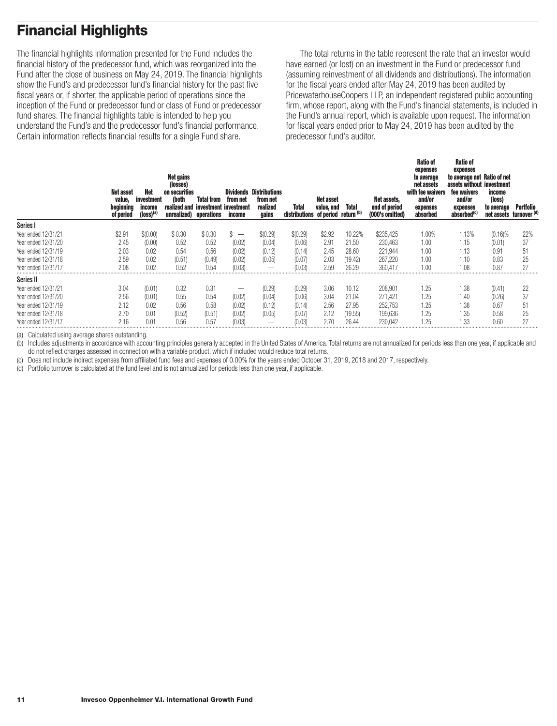# <span id="page-12-0"></span>**Financial Highlights**

The financial highlights information presented for the Fund includes the financial history of the predecessor fund, which was reorganized into the Fund after the close of business on May 24, 2019. The financial highlights show the Fund's and predecessor fund's financial history for the past five fiscal years or, if shorter, the applicable period of operations since the inception of the Fund or predecessor fund or class of Fund or predecessor fund shares. The financial highlights table is intended to help you understand the Fund's and the predecessor fund's financial performance. Certain information reflects financial results for a single Fund share.

The total returns in the table represent the rate that an investor would have earned (or lost) on an investment in the Fund or predecessor fund (assuming reinvestment of all dividends and distributions). The information for the fiscal years ended after May 24, 2019 has been audited by PricewaterhouseCoopers LLP, an independent registered public accounting firm, whose report, along with the Fund's financial statements, is included in the Fund's annual report, which is available upon request. The information for fiscal years ended prior to May 24, 2019 has been audited by the predecessor fund's auditor.

|                     | Net asset<br>value,<br>beginning<br>of period | Net<br>investment<br>income<br>(loss) <sup>(a</sup> | <b>Net gains</b><br>(losses)<br>on securities<br>(both<br>realized and<br>unrealized) operations | <b>Total from</b><br>investment investment | Dividends<br>from net<br>income | <b>Distributions</b><br>from net<br>realized<br>gains | Total<br>distributions of period return (b) | Net asset<br>value, end | <b>Total</b> | Net assets,<br>end of period<br>(000's omitted) | <b>Ratio of</b><br>expenses<br>to average<br>net assets<br>with fee waivers<br>and/or<br>expenses<br>absorbed | <b>Ratio of</b><br>expenses<br>to average net Ratio of net<br>assets without investment<br>fee waivers<br>and/or<br>expenses<br>absorbed <sup>(c)</sup> | income<br>(loss)<br>to average<br>net assets turnover (d) | Portfolio |
|---------------------|-----------------------------------------------|-----------------------------------------------------|--------------------------------------------------------------------------------------------------|--------------------------------------------|---------------------------------|-------------------------------------------------------|---------------------------------------------|-------------------------|--------------|-------------------------------------------------|---------------------------------------------------------------------------------------------------------------|---------------------------------------------------------------------------------------------------------------------------------------------------------|-----------------------------------------------------------|-----------|
| Series I            |                                               |                                                     |                                                                                                  |                                            |                                 |                                                       |                                             |                         |              |                                                 |                                                                                                               |                                                                                                                                                         |                                                           |           |
| Year ended 12/31/21 | \$2.91                                        | \$(0.00)                                            | \$0.30                                                                                           | \$0.30                                     | $\overline{\phantom{0}}$        | \$(0.29)                                              | \$(0.29)                                    | \$2.92                  | 10.22%       | \$235,425                                       | 1.00%                                                                                                         | 1.13%                                                                                                                                                   | $(0.16)\%$                                                | 22%       |
| Year ended 12/31/20 | 2.45                                          | (0.00)                                              | 0.52                                                                                             | 0.52                                       | (0.02)                          | (0.04)                                                | (0.06)                                      | 2.91                    | 21.50        | 230,463                                         | 1.00                                                                                                          | 1.15                                                                                                                                                    | (0.01)                                                    | 37        |
| Year ended 12/31/19 | 2.03                                          | 0.02                                                | 0.54                                                                                             | 0.56                                       | (0.02)                          | (0.12)                                                | (0.14)                                      | 2.45                    | 28.60        | 221,944                                         | 1.00                                                                                                          | 1.13                                                                                                                                                    | 0.91                                                      | 51        |
| Year ended 12/31/18 | 2.59                                          | 0.02                                                | (0.51)                                                                                           | (0.49)                                     | (0.02)                          | (0.05)                                                | (0.07)                                      | 2.03                    | (19.42)      | 267,220                                         | 1.00                                                                                                          | 1.10                                                                                                                                                    | 0.83                                                      | 25        |
| Year ended 12/31/17 | 2.08                                          | 0.02                                                | 0.52                                                                                             | 0.54                                       | (0.03)                          |                                                       | (0.03)                                      | 2.59                    | 26.29        | 360.417                                         | 1.00                                                                                                          | 1.08                                                                                                                                                    | 0.87                                                      | 27        |
| Series II           |                                               |                                                     |                                                                                                  |                                            |                                 |                                                       |                                             |                         |              |                                                 |                                                                                                               |                                                                                                                                                         |                                                           |           |
| Year ended 12/31/21 | 3.04                                          | (0.01)                                              | 0.32                                                                                             | 0.31                                       | –                               | (0.29)                                                | (0.29)                                      | 3.06                    | 10.12        | 208,901                                         | 1.25                                                                                                          | 1.38                                                                                                                                                    | (0.41)                                                    | 22        |
| Year ended 12/31/20 | 2.56                                          | (0.01)                                              | 0.55                                                                                             | 0.54                                       | (0.02)                          | (0.04)                                                | (0.06)                                      | 3.04                    | 21.04        | 271,421                                         | 1.25                                                                                                          | 1.40                                                                                                                                                    | (0.26)                                                    | 37        |
| Year ended 12/31/19 | 2.12                                          | 0.02                                                | 0.56                                                                                             | 0.58                                       | (0.02)                          | (0.12)                                                | (0.14)                                      | 2.56                    | 27.95        | 252,753                                         | 1.25                                                                                                          | 1.38                                                                                                                                                    | 0.67                                                      | 51        |
| Year ended 12/31/18 | 2.70                                          | 0.01                                                | (0.52)                                                                                           | (0.51)                                     | (0.02)                          | (0.05)                                                | (0.07)                                      | 2.12                    | (19.55)      | 199,636                                         | 1.25                                                                                                          | 1.35                                                                                                                                                    | 0.58                                                      | 25        |
| Year ended 12/31/17 | 2.16                                          | 0.01                                                | 0.56                                                                                             | 0.57                                       | (0.03)                          |                                                       | (0.03)                                      | 2.70                    | 26.44        | 239.042                                         | 1.25                                                                                                          | 1.33                                                                                                                                                    | 0.60                                                      | 27        |

(a) Calculated using average shares outstanding.

(b) Includes adjustments in accordance with accounting principles generally accepted in the United States of America. Total returns are not annualized for periods less than one year, if applicable and do not reflect charges assessed in connection with a variable product, which if included would reduce total returns.

(c) Does not include indirect expenses from affiliated fund fees and expenses of 0.00% for the years ended October 31, 2019, 2018 and 2017, respectively.

(d) Portfolio turnover is calculated at the fund level and is not annualized for periods less than one year, if applicable.